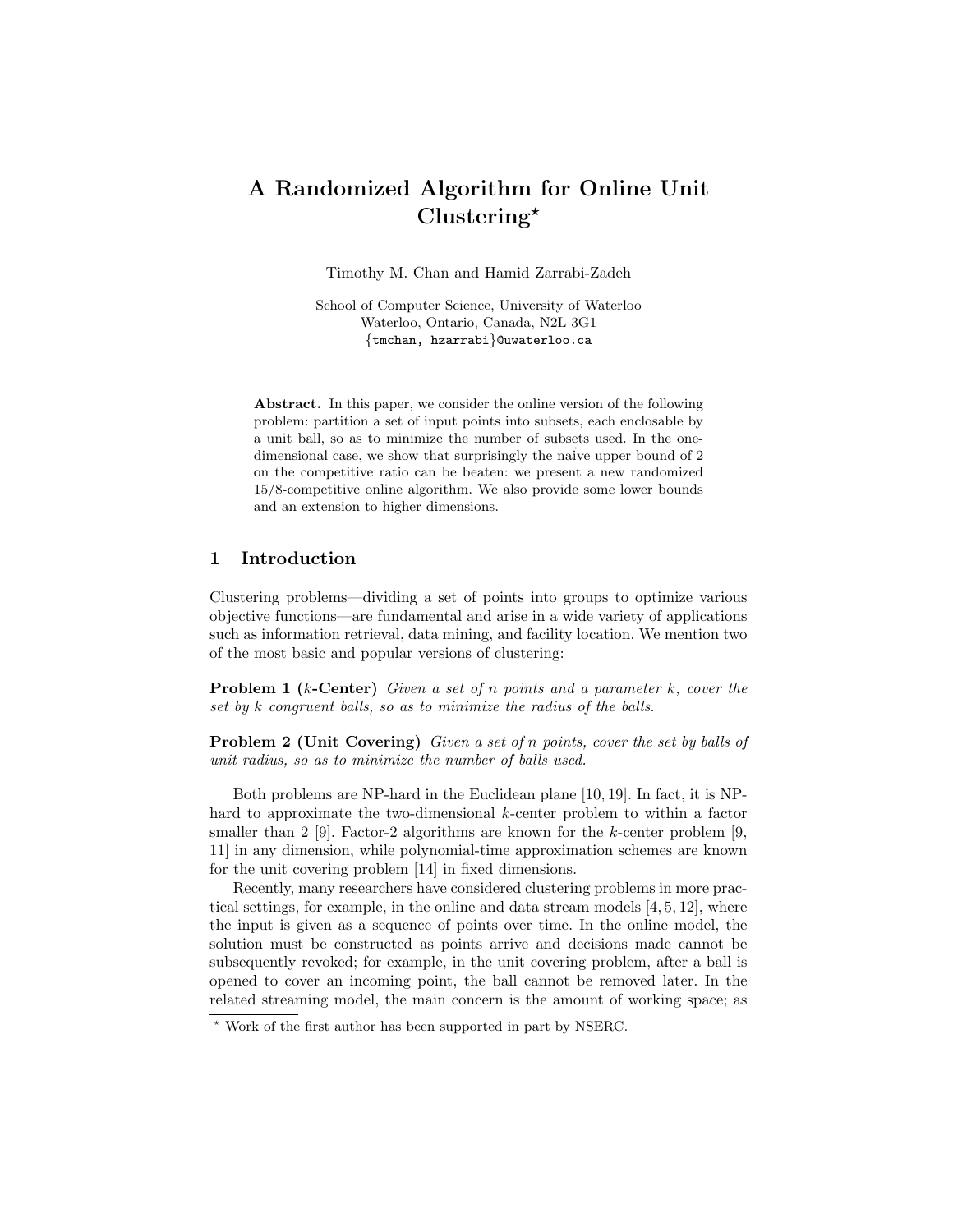# A Randomized Algorithm for Online Unit  $Clustering^{\star}$

Timothy M. Chan and Hamid Zarrabi-Zadeh

School of Computer Science, University of Waterloo Waterloo, Ontario, Canada, N2L 3G1 {tmchan, hzarrabi}@uwaterloo.ca

Abstract. In this paper, we consider the online version of the following problem: partition a set of input points into subsets, each enclosable by a unit ball, so as to minimize the number of subsets used. In the onedimensional case, we show that surprisingly the naïve upper bound of 2 on the competitive ratio can be beaten: we present a new randomized 15/8-competitive online algorithm. We also provide some lower bounds and an extension to higher dimensions.

## 1 Introduction

Clustering problems—dividing a set of points into groups to optimize various objective functions—are fundamental and arise in a wide variety of applications such as information retrieval, data mining, and facility location. We mention two of the most basic and popular versions of clustering:

Problem 1 (k-Center) Given a set of n points and a parameter k, cover the set by k congruent balls, so as to minimize the radius of the balls.

Problem 2 (Unit Covering) Given a set of n points, cover the set by balls of unit radius, so as to minimize the number of balls used.

Both problems are NP-hard in the Euclidean plane [10, 19]. In fact, it is NPhard to approximate the two-dimensional k-center problem to within a factor smaller than 2 [9]. Factor-2 algorithms are known for the k-center problem [9, 11] in any dimension, while polynomial-time approximation schemes are known for the unit covering problem [14] in fixed dimensions.

Recently, many researchers have considered clustering problems in more practical settings, for example, in the online and data stream models  $[4, 5, 12]$ , where the input is given as a sequence of points over time. In the online model, the solution must be constructed as points arrive and decisions made cannot be subsequently revoked; for example, in the unit covering problem, after a ball is opened to cover an incoming point, the ball cannot be removed later. In the related streaming model, the main concern is the amount of working space; as

<sup>?</sup> Work of the first author has been supported in part by NSERC.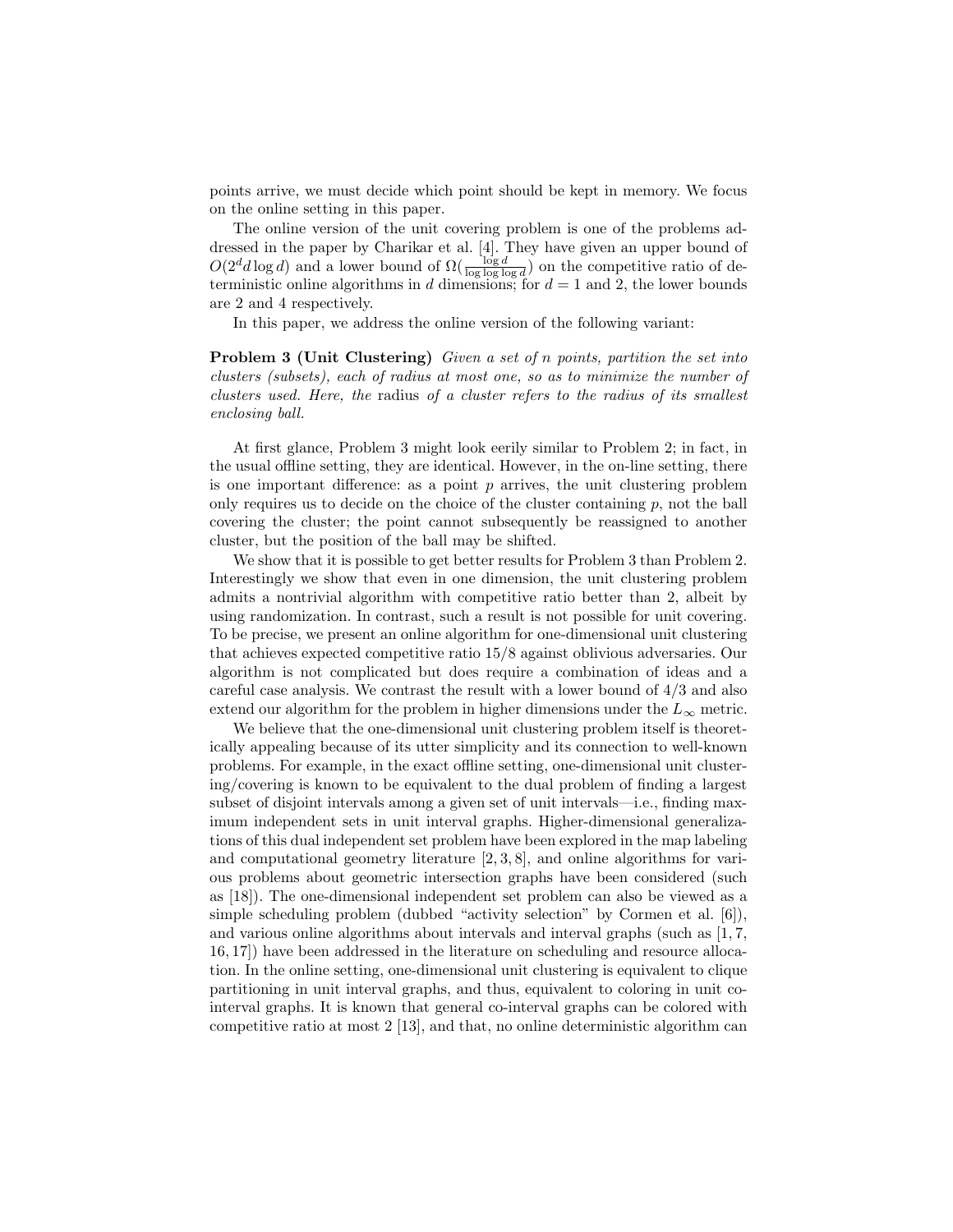points arrive, we must decide which point should be kept in memory. We focus on the online setting in this paper.

The online version of the unit covering problem is one of the problems addressed in the paper by Charikar et al. [4]. They have given an upper bound of  $O(2^d d \log d)$  and a lower bound of  $\Omega(\frac{\log d}{\log \log \log d})$  on the competitive ratio of deterministic online algorithms in d dimensions; for  $d = 1$  and 2, the lower bounds are 2 and 4 respectively.

In this paper, we address the online version of the following variant:

Problem 3 (Unit Clustering) Given a set of n points, partition the set into clusters (subsets), each of radius at most one, so as to minimize the number of clusters used. Here, the radius of a cluster refers to the radius of its smallest enclosing ball.

At first glance, Problem 3 might look eerily similar to Problem 2; in fact, in the usual offline setting, they are identical. However, in the on-line setting, there is one important difference: as a point  $p$  arrives, the unit clustering problem only requires us to decide on the choice of the cluster containing  $p$ , not the ball covering the cluster; the point cannot subsequently be reassigned to another cluster, but the position of the ball may be shifted.

We show that it is possible to get better results for Problem 3 than Problem 2. Interestingly we show that even in one dimension, the unit clustering problem admits a nontrivial algorithm with competitive ratio better than 2, albeit by using randomization. In contrast, such a result is not possible for unit covering. To be precise, we present an online algorithm for one-dimensional unit clustering that achieves expected competitive ratio 15/8 against oblivious adversaries. Our algorithm is not complicated but does require a combination of ideas and a careful case analysis. We contrast the result with a lower bound of 4/3 and also extend our algorithm for the problem in higher dimensions under the  $L_{\infty}$  metric.

We believe that the one-dimensional unit clustering problem itself is theoretically appealing because of its utter simplicity and its connection to well-known problems. For example, in the exact offline setting, one-dimensional unit clustering/covering is known to be equivalent to the dual problem of finding a largest subset of disjoint intervals among a given set of unit intervals—i.e., finding maximum independent sets in unit interval graphs. Higher-dimensional generalizations of this dual independent set problem have been explored in the map labeling and computational geometry literature [2, 3, 8], and online algorithms for various problems about geometric intersection graphs have been considered (such as [18]). The one-dimensional independent set problem can also be viewed as a simple scheduling problem (dubbed "activity selection" by Cormen et al. [6]), and various online algorithms about intervals and interval graphs (such as [1, 7, 16, 17]) have been addressed in the literature on scheduling and resource allocation. In the online setting, one-dimensional unit clustering is equivalent to clique partitioning in unit interval graphs, and thus, equivalent to coloring in unit cointerval graphs. It is known that general co-interval graphs can be colored with competitive ratio at most 2 [13], and that, no online deterministic algorithm can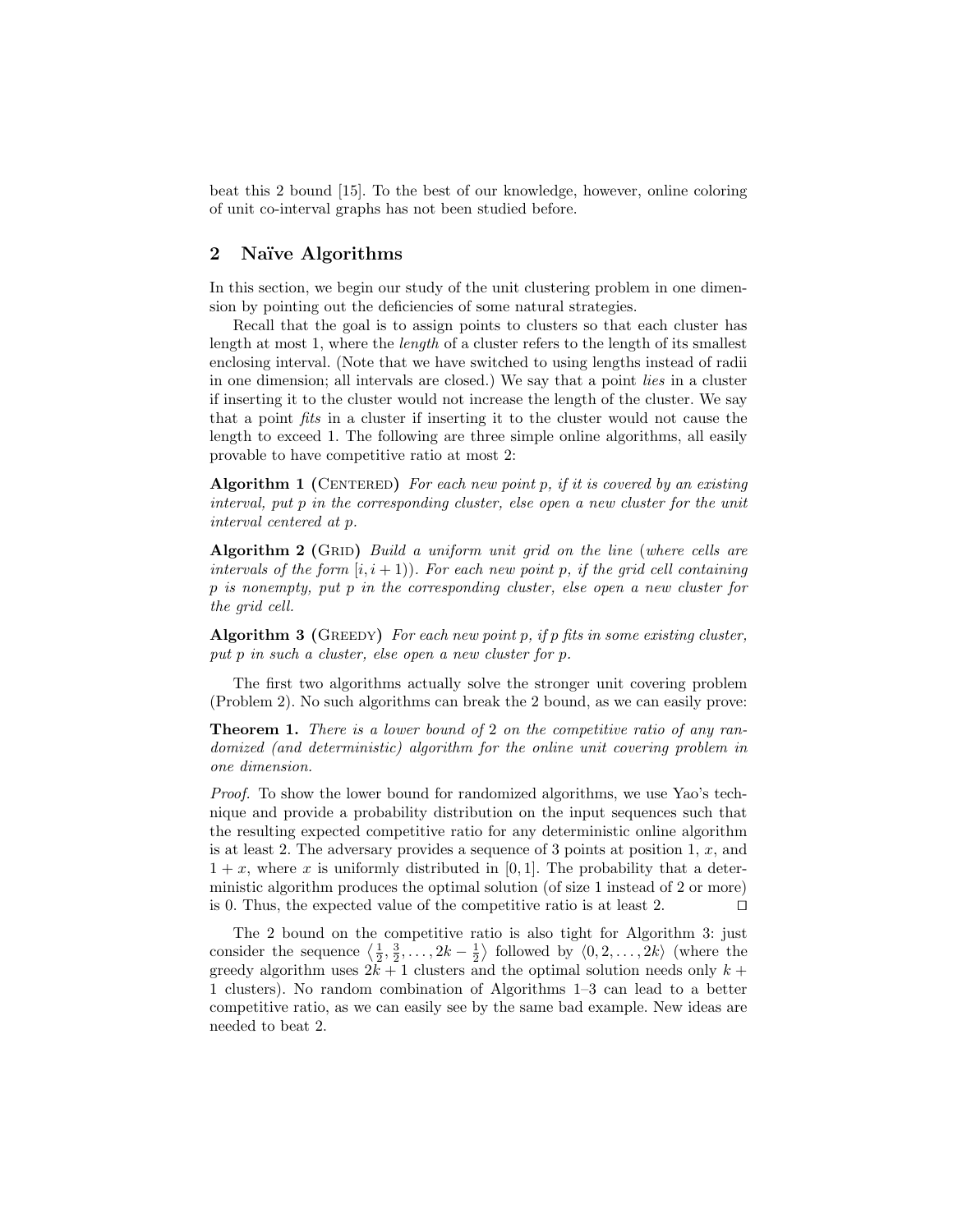beat this 2 bound [15]. To the best of our knowledge, however, online coloring of unit co-interval graphs has not been studied before.

# 2 Naïve Algorithms

In this section, we begin our study of the unit clustering problem in one dimension by pointing out the deficiencies of some natural strategies.

Recall that the goal is to assign points to clusters so that each cluster has length at most 1, where the length of a cluster refers to the length of its smallest enclosing interval. (Note that we have switched to using lengths instead of radii in one dimension; all intervals are closed.) We say that a point lies in a cluster if inserting it to the cluster would not increase the length of the cluster. We say that a point fits in a cluster if inserting it to the cluster would not cause the length to exceed 1. The following are three simple online algorithms, all easily provable to have competitive ratio at most 2:

Algorithm 1 (CENTERED) For each new point p, if it is covered by an existing interval, put p in the corresponding cluster, else open a new cluster for the unit interval centered at p.

Algorithm  $2$  (GRID) Build a uniform unit grid on the line (where cells are intervals of the form  $[i, i + 1]$ ). For each new point p, if the grid cell containing p is nonempty, put p in the corresponding cluster, else open a new cluster for the grid cell.

Algorithm 3 (GREEDY) For each new point p, if p fits in some existing cluster, put p in such a cluster, else open a new cluster for p.

The first two algorithms actually solve the stronger unit covering problem (Problem 2). No such algorithms can break the 2 bound, as we can easily prove:

**Theorem 1.** There is a lower bound of 2 on the competitive ratio of any randomized (and deterministic) algorithm for the online unit covering problem in one dimension.

Proof. To show the lower bound for randomized algorithms, we use Yao's technique and provide a probability distribution on the input sequences such that the resulting expected competitive ratio for any deterministic online algorithm is at least 2. The adversary provides a sequence of 3 points at position 1,  $x$ , and  $1 + x$ , where x is uniformly distributed in [0, 1]. The probability that a deterministic algorithm produces the optimal solution (of size 1 instead of 2 or more) is 0. Thus, the expected value of the competitive ratio is at least 2.  $\Box$ 

The 2 bound on the competitive ratio is also tight for Algorithm 3: just consider the sequence  $\left\langle \frac{1}{2}, \frac{3}{2}, \ldots, 2k - \frac{1}{2} \right\rangle$  followed by  $\langle 0, 2, \ldots, 2k \rangle$  (where the greedy algorithm uses  $2k + 1$  clusters and the optimal solution needs only  $k +$ 1 clusters). No random combination of Algorithms 1–3 can lead to a better competitive ratio, as we can easily see by the same bad example. New ideas are needed to beat 2.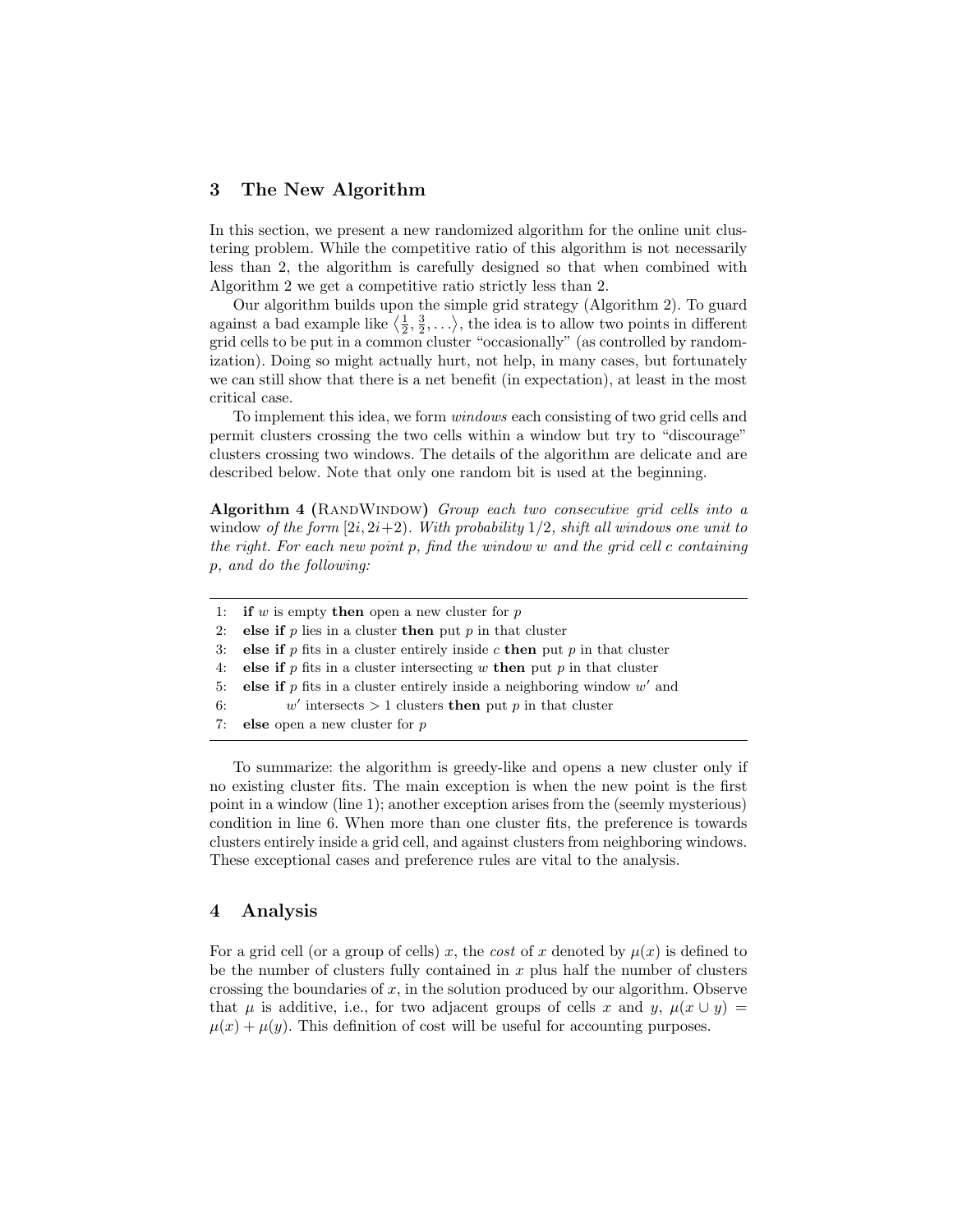## 3 The New Algorithm

In this section, we present a new randomized algorithm for the online unit clustering problem. While the competitive ratio of this algorithm is not necessarily less than 2, the algorithm is carefully designed so that when combined with Algorithm 2 we get a competitive ratio strictly less than 2.

Our algorithm builds upon the simple grid strategy (Algorithm 2). To guard against a bad example like  $\langle \frac{1}{2}, \frac{3}{2}, \ldots \rangle$ , the idea is to allow two points in different grid cells to be put in a common cluster "occasionally" (as controlled by randomization). Doing so might actually hurt, not help, in many cases, but fortunately we can still show that there is a net benefit (in expectation), at least in the most critical case.

To implement this idea, we form windows each consisting of two grid cells and permit clusters crossing the two cells within a window but try to "discourage" clusters crossing two windows. The details of the algorithm are delicate and are described below. Note that only one random bit is used at the beginning.

Algorithm 4 (RANDWINDOW) Group each two consecutive grid cells into a window of the form  $[2i, 2i+2)$ . With probability  $1/2$ , shift all windows one unit to the right. For each new point p, find the window w and the grid cell c containing p, and do the following:

|    | 1: if w is empty then open a new cluster for p                              |
|----|-----------------------------------------------------------------------------|
| 2: | else if $p$ lies in a cluster then put $p$ in that cluster                  |
| 3: | else if p fits in a cluster entirely inside c then put p in that cluster    |
| 4: | else if $p$ fits in a cluster intersecting $w$ then put $p$ in that cluster |
| 5: | else if $p$ fits in a cluster entirely inside a neighboring window $w'$ and |
| 6: | w' intersects $> 1$ clusters then put p in that cluster                     |
| 7: | <b>else</b> open a new cluster for $p$                                      |

To summarize: the algorithm is greedy-like and opens a new cluster only if no existing cluster fits. The main exception is when the new point is the first point in a window (line 1); another exception arises from the (seemly mysterious) condition in line 6. When more than one cluster fits, the preference is towards clusters entirely inside a grid cell, and against clusters from neighboring windows. These exceptional cases and preference rules are vital to the analysis.

## 4 Analysis

For a grid cell (or a group of cells) x, the cost of x denoted by  $\mu(x)$  is defined to be the number of clusters fully contained in  $x$  plus half the number of clusters crossing the boundaries of x, in the solution produced by our algorithm. Observe that  $\mu$  is additive, i.e., for two adjacent groups of cells x and y,  $\mu(x \cup y)$  =  $\mu(x) + \mu(y)$ . This definition of cost will be useful for accounting purposes.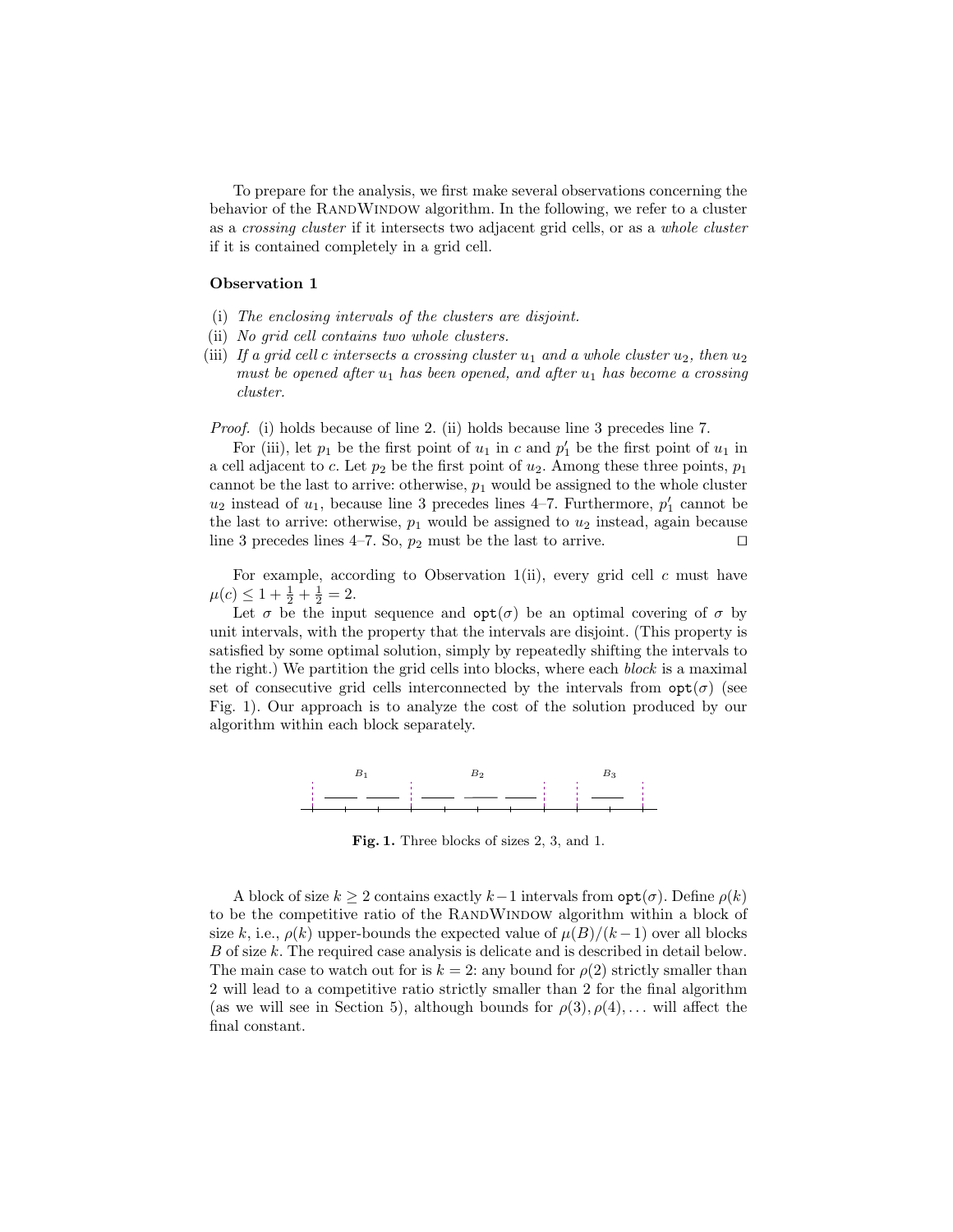To prepare for the analysis, we first make several observations concerning the behavior of the RANDWINDOW algorithm. In the following, we refer to a cluster as a crossing cluster if it intersects two adjacent grid cells, or as a whole cluster if it is contained completely in a grid cell.

#### Observation 1

- (i) The enclosing intervals of the clusters are disjoint.
- (ii) No grid cell contains two whole clusters.
- (iii) If a grid cell c intersects a crossing cluster  $u_1$  and a whole cluster  $u_2$ , then  $u_2$ must be opened after  $u_1$  has been opened, and after  $u_1$  has become a crossing cluster.

Proof. (i) holds because of line 2. (ii) holds because line 3 precedes line 7.

For (iii), let  $p_1$  be the first point of  $u_1$  in c and  $p'_1$  be the first point of  $u_1$  in a cell adjacent to c. Let  $p_2$  be the first point of  $u_2$ . Among these three points,  $p_1$ cannot be the last to arrive: otherwise,  $p_1$  would be assigned to the whole cluster  $u_2$  instead of  $u_1$ , because line 3 precedes lines 4–7. Furthermore,  $p'_1$  cannot be the last to arrive: otherwise,  $p_1$  would be assigned to  $u_2$  instead, again because line 3 precedes lines 4–7. So,  $p_2$  must be the last to arrive.  $\square$ 

For example, according to Observation 1(ii), every grid cell  $c$  must have  $\mu(c) \leq 1 + \frac{1}{2} + \frac{1}{2} = 2.$ 

Let  $\sigma$  be the input sequence and  $opt(\sigma)$  be an optimal covering of  $\sigma$  by unit intervals, with the property that the intervals are disjoint. (This property is satisfied by some optimal solution, simply by repeatedly shifting the intervals to the right.) We partition the grid cells into blocks, where each block is a maximal set of consecutive grid cells interconnected by the intervals from  $\text{opt}(\sigma)$  (see Fig. 1). Our approach is to analyze the cost of the solution produced by our algorithm within each block separately.



Fig. 1. Three blocks of sizes 2, 3, and 1.

A block of size  $k > 2$  contains exactly  $k-1$  intervals from  $\text{opt}(\sigma)$ . Define  $\rho(k)$ to be the competitive ratio of the RANDWINDOW algorithm within a block of size k, i.e.,  $\rho(k)$  upper-bounds the expected value of  $\mu(B)/(k-1)$  over all blocks B of size k. The required case analysis is delicate and is described in detail below. The main case to watch out for is  $k = 2$ : any bound for  $\rho(2)$  strictly smaller than 2 will lead to a competitive ratio strictly smaller than 2 for the final algorithm (as we will see in Section 5), although bounds for  $\rho(3), \rho(4), \ldots$  will affect the final constant.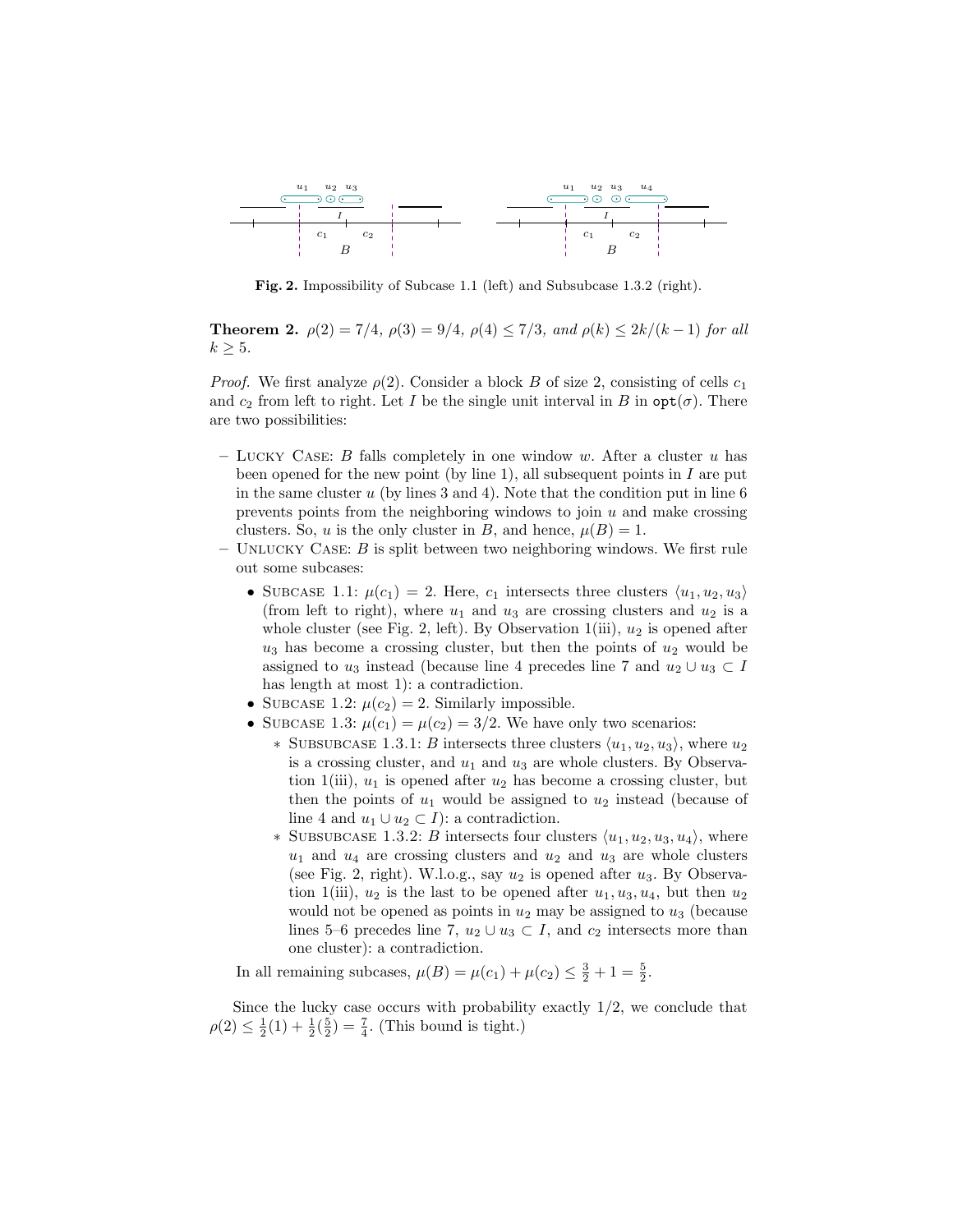

Fig. 2. Impossibility of Subcase 1.1 (left) and Subsubcase 1.3.2 (right).

**Theorem 2.**  $\rho(2) = 7/4$ ,  $\rho(3) = 9/4$ ,  $\rho(4) \le 7/3$ , and  $\rho(k) \le 2k/(k-1)$  for all  $k \geq 5$ .

*Proof.* We first analyze  $\rho(2)$ . Consider a block B of size 2, consisting of cells  $c_1$ and  $c_2$  from left to right. Let I be the single unit interval in B in  $\mathsf{opt}(\sigma)$ . There are two possibilities:

- LUCKY CASE: B falls completely in one window w. After a cluster u has been opened for the new point (by line 1), all subsequent points in  $I$  are put in the same cluster  $u$  (by lines 3 and 4). Note that the condition put in line 6 prevents points from the neighboring windows to join  $u$  and make crossing clusters. So, u is the only cluster in B, and hence,  $\mu(B) = 1$ .
- UNLUCKY CASE:  $B$  is split between two neighboring windows. We first rule out some subcases:
	- SUBCASE 1.1:  $\mu(c_1) = 2$ . Here,  $c_1$  intersects three clusters  $\langle u_1, u_2, u_3 \rangle$ (from left to right), where  $u_1$  and  $u_3$  are crossing clusters and  $u_2$  is a whole cluster (see Fig. 2, left). By Observation  $1(iii)$ ,  $u_2$  is opened after  $u_3$  has become a crossing cluster, but then the points of  $u_2$  would be assigned to  $u_3$  instead (because line 4 precedes line 7 and  $u_2 \cup u_3 \subset I$ has length at most 1): a contradiction.
	- SUBCASE 1.2:  $\mu(c_2) = 2$ . Similarly impossible.
	- SUBCASE 1.3:  $\mu(c_1) = \mu(c_2) = 3/2$ . We have only two scenarios:
		- ∗ SUBSUBCASE 1.3.1: B intersects three clusters  $\langle u_1, u_2, u_3 \rangle$ , where  $u_2$ is a crossing cluster, and  $u_1$  and  $u_3$  are whole clusters. By Observation 1(iii),  $u_1$  is opened after  $u_2$  has become a crossing cluster, but then the points of  $u_1$  would be assigned to  $u_2$  instead (because of line 4 and  $u_1 \cup u_2 \subset I$ ): a contradiction.
		- ∗ SUBSUBCASE 1.3.2: B intersects four clusters  $\langle u_1, u_2, u_3, u_4 \rangle$ , where  $u_1$  and  $u_4$  are crossing clusters and  $u_2$  and  $u_3$  are whole clusters (see Fig. 2, right). W.l.o.g., say  $u_2$  is opened after  $u_3$ . By Observation 1(iii),  $u_2$  is the last to be opened after  $u_1, u_3, u_4$ , but then  $u_2$ would not be opened as points in  $u_2$  may be assigned to  $u_3$  (because lines 5–6 precedes line 7,  $u_2 \cup u_3 \subset I$ , and  $c_2$  intersects more than one cluster): a contradiction.

In all remaining subcases,  $\mu(B) = \mu(c_1) + \mu(c_2) \leq \frac{3}{2} + 1 = \frac{5}{2}$ .

Since the lucky case occurs with probability exactly  $1/2$ , we conclude that  $\rho(2) \leq \frac{1}{2}(1) + \frac{1}{2}(\frac{5}{2}) = \frac{7}{4}$ . (This bound is tight.)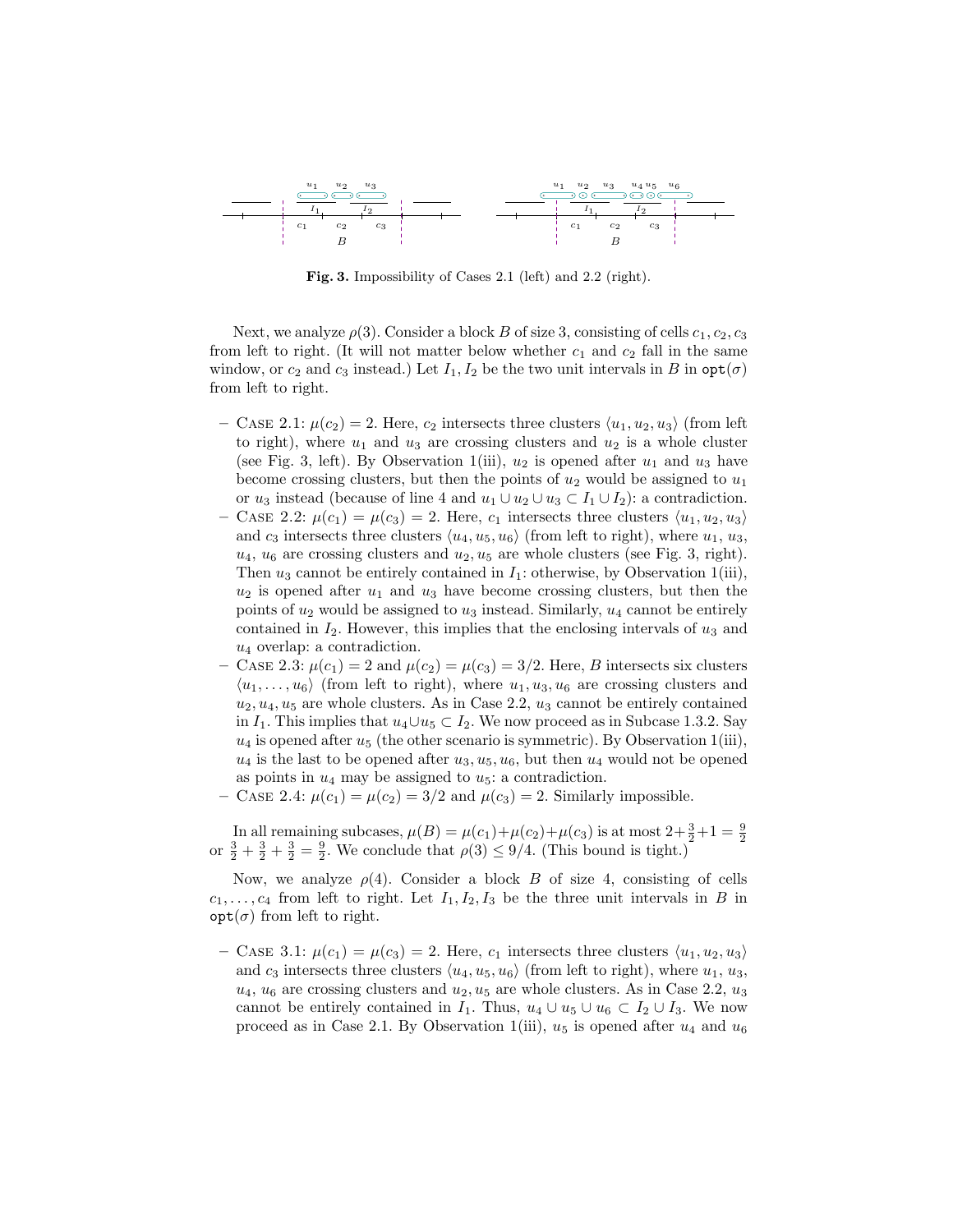

Fig. 3. Impossibility of Cases 2.1 (left) and 2.2 (right).

Next, we analyze  $\rho(3)$ . Consider a block B of size 3, consisting of cells  $c_1, c_2, c_3$ from left to right. (It will not matter below whether  $c_1$  and  $c_2$  fall in the same window, or  $c_2$  and  $c_3$  instead.) Let  $I_1, I_2$  be the two unit intervals in B in  $\text{opt}(\sigma)$ from left to right.

- CASE 2.1:  $\mu(c_2) = 2$ . Here,  $c_2$  intersects three clusters  $\langle u_1, u_2, u_3 \rangle$  (from left to right), where  $u_1$  and  $u_3$  are crossing clusters and  $u_2$  is a whole cluster (see Fig. 3, left). By Observation 1(iii),  $u_2$  is opened after  $u_1$  and  $u_3$  have become crossing clusters, but then the points of  $u_2$  would be assigned to  $u_1$ or  $u_3$  instead (because of line 4 and  $u_1 \cup u_2 \cup u_3 \subset I_1 \cup I_2$ ): a contradiction.
- CASE 2.2:  $\mu(c_1) = \mu(c_3) = 2$ . Here,  $c_1$  intersects three clusters  $\langle u_1, u_2, u_3 \rangle$ and  $c_3$  intersects three clusters  $\langle u_4, u_5, u_6 \rangle$  (from left to right), where  $u_1, u_3$ ,  $u_4$ ,  $u_6$  are crossing clusters and  $u_2$ ,  $u_5$  are whole clusters (see Fig. 3, right). Then  $u_3$  cannot be entirely contained in  $I_1$ : otherwise, by Observation 1(iii),  $u_2$  is opened after  $u_1$  and  $u_3$  have become crossing clusters, but then the points of  $u_2$  would be assigned to  $u_3$  instead. Similarly,  $u_4$  cannot be entirely contained in  $I_2$ . However, this implies that the enclosing intervals of  $u_3$  and  $u_4$  overlap: a contradiction.
- CASE 2.3:  $\mu(c_1) = 2$  and  $\mu(c_2) = \mu(c_3) = 3/2$ . Here, B intersects six clusters  $\langle u_1, \ldots, u_6 \rangle$  (from left to right), where  $u_1, u_3, u_6$  are crossing clusters and  $u_2, u_4, u_5$  are whole clusters. As in Case 2.2,  $u_3$  cannot be entirely contained in  $I_1$ . This implies that  $u_4\cup u_5\subset I_2$ . We now proceed as in Subcase 1.3.2. Say  $u_4$  is opened after  $u_5$  (the other scenario is symmetric). By Observation 1(iii),  $u_4$  is the last to be opened after  $u_3, u_5, u_6$ , but then  $u_4$  would not be opened as points in  $u_4$  may be assigned to  $u_5$ : a contradiction.
- CASE 2.4:  $\mu(c_1) = \mu(c_2) = 3/2$  and  $\mu(c_3) = 2$ . Similarly impossible.

In all remaining subcases,  $\mu(B) = \mu(c_1) + \mu(c_2) + \mu(c_3)$  is at most  $2 + \frac{3}{2} + 1 = \frac{9}{2}$ or  $\frac{3}{2} + \frac{3}{2} + \frac{3}{2} = \frac{9}{2}$ . We conclude that  $\rho(3) \le 9/4$ . (This bound is tight.)

Now, we analyze  $\rho(4)$ . Consider a block B of size 4, consisting of cells  $c_1, \ldots, c_4$  from left to right. Let  $I_1, I_2, I_3$  be the three unit intervals in B in  $opt(\sigma)$  from left to right.

– CASE 3.1:  $\mu(c_1) = \mu(c_3) = 2$ . Here,  $c_1$  intersects three clusters  $\langle u_1, u_2, u_3 \rangle$ and  $c_3$  intersects three clusters  $\langle u_4, u_5, u_6 \rangle$  (from left to right), where  $u_1, u_3$ ,  $u_4$ ,  $u_6$  are crossing clusters and  $u_2$ ,  $u_5$  are whole clusters. As in Case 2.2,  $u_3$ cannot be entirely contained in  $I_1$ . Thus,  $u_4 \cup u_5 \cup u_6 \subset I_2 \cup I_3$ . We now proceed as in Case 2.1. By Observation 1(iii),  $u_5$  is opened after  $u_4$  and  $u_6$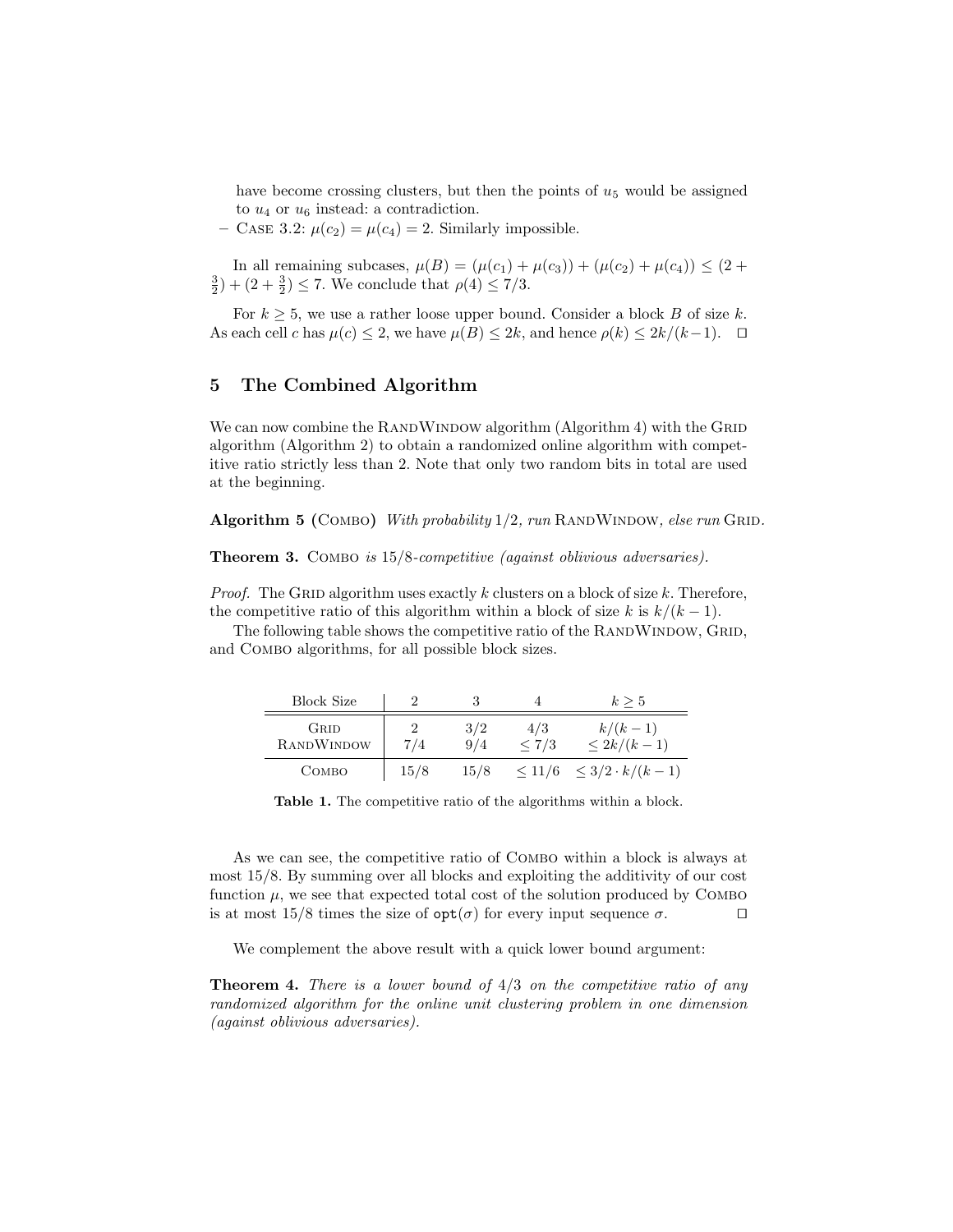have become crossing clusters, but then the points of  $u<sub>5</sub>$  would be assigned to  $u_4$  or  $u_6$  instead: a contradiction.

– CASE 3.2:  $\mu(c_2) = \mu(c_4) = 2$ . Similarly impossible.

In all remaining subcases,  $\mu(B) = (\mu(c_1) + \mu(c_3)) + (\mu(c_2) + \mu(c_4)) \leq (2 +$  $(\frac{3}{2}) + (2 + \frac{3}{2}) \le 7$ . We conclude that  $\rho(4) \le 7/3$ .

For  $k \geq 5$ , we use a rather loose upper bound. Consider a block B of size k. As each cell c has  $\mu(c) \leq 2$ , we have  $\mu(B) \leq 2k$ , and hence  $\rho(k) \leq 2k/(k-1)$ .  $\Box$ 

## 5 The Combined Algorithm

We can now combine the RANDWINDOW algorithm  $(A$ lgorithm  $4)$  with the GRID algorithm (Algorithm 2) to obtain a randomized online algorithm with competitive ratio strictly less than 2. Note that only two random bits in total are used at the beginning.

Algorithm 5 (COMBO) With probability  $1/2$ , run RANDWINDOW, else run GRID.

Theorem 3. COMBO is  $15/8$ -competitive (against oblivious adversaries).

*Proof.* The GRID algorithm uses exactly k clusters on a block of size k. Therefore, the competitive ratio of this algorithm within a block of size k is  $k/(k-1)$ .

The following table shows the competitive ratio of the RANDWINDOW, GRID, and Combo algorithms, for all possible block sizes.

| <b>Block Size</b>  |          |            |              | $k \geq 5$                         |
|--------------------|----------|------------|--------------|------------------------------------|
| GRID<br>RANDWINDOW | 2<br>7/4 | 3/2<br>9/4 | 4/3<br>< 7/3 | $k/(k-1)$<br>$\leq 2k/(k-1)$       |
| Сомво              | 15/8     | 15/8       |              | $\leq 11/6 \leq 3/2 \cdot k/(k-1)$ |

Table 1. The competitive ratio of the algorithms within a block.

As we can see, the competitive ratio of Combo within a block is always at most 15/8. By summing over all blocks and exploiting the additivity of our cost function  $\mu$ , we see that expected total cost of the solution produced by COMBO is at most 15/8 times the size of  $opt(\sigma)$  for every input sequence  $\sigma$ .

We complement the above result with a quick lower bound argument:

**Theorem 4.** There is a lower bound of  $4/3$  on the competitive ratio of any randomized algorithm for the online unit clustering problem in one dimension (against oblivious adversaries).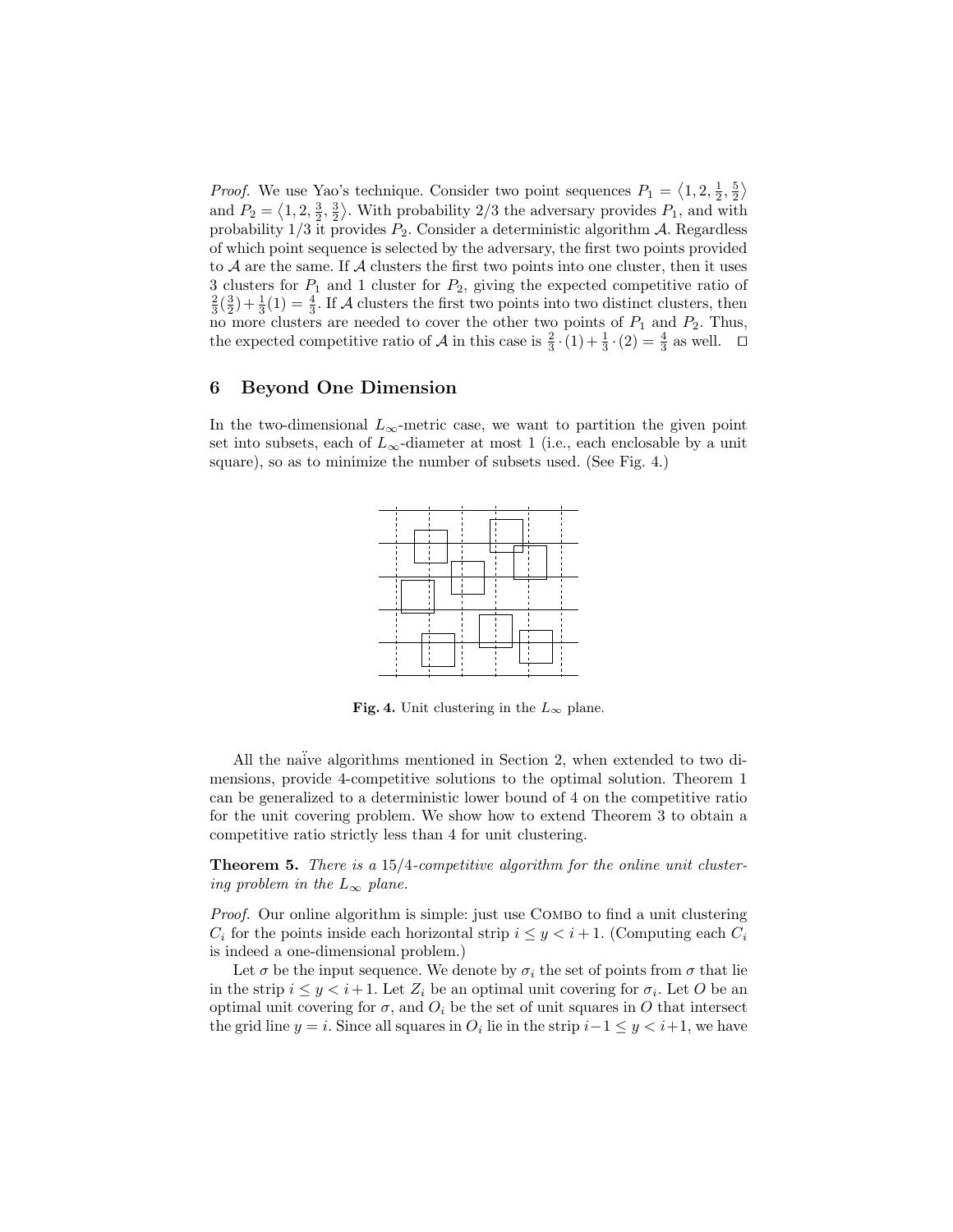*Proof.* We use Yao's technique. Consider two point sequences  $P_1 = \langle 1, 2, \frac{1}{2}, \frac{5}{2} \rangle$ and  $P_2 = \langle 1, 2, \frac{3}{2}, \frac{3}{2} \rangle$ . With probability 2/3 the adversary provides  $P_1$ , and with probability  $1/3$  it provides  $P_2$ . Consider a deterministic algorithm A. Regardless of which point sequence is selected by the adversary, the first two points provided to  $A$  are the same. If  $A$  clusters the first two points into one cluster, then it uses 3 clusters for  $P_1$  and 1 cluster for  $P_2$ , giving the expected competitive ratio of  $\frac{2}{3}(\frac{3}{2})+\frac{1}{3}(1)=\frac{4}{3}$ . If A clusters the first two points into two distinct clusters, then no more clusters are needed to cover the other two points of  $P_1$  and  $P_2$ . Thus, the expected competitive ratio of A in this case is  $\frac{2}{3} \cdot (1) + \frac{1}{3} \cdot (2) = \frac{4}{3}$  as well.  $\Box$ 

## 6 Beyond One Dimension

In the two-dimensional  $L_{\infty}$ -metric case, we want to partition the given point set into subsets, each of  $L_{\infty}$ -diameter at most 1 (i.e., each enclosable by a unit square), so as to minimize the number of subsets used. (See Fig. 4.)



Fig. 4. Unit clustering in the  $L_{\infty}$  plane.

All the naïve algorithms mentioned in Section 2, when extended to two dimensions, provide 4-competitive solutions to the optimal solution. Theorem 1 can be generalized to a deterministic lower bound of 4 on the competitive ratio for the unit covering problem. We show how to extend Theorem 3 to obtain a competitive ratio strictly less than 4 for unit clustering.

Theorem 5. There is a 15/4-competitive algorithm for the online unit clustering problem in the  $L_{\infty}$  plane.

Proof. Our online algorithm is simple: just use COMBO to find a unit clustering  $C_i$  for the points inside each horizontal strip  $i \leq y < i+1$ . (Computing each  $C_i$ is indeed a one-dimensional problem.)

Let  $\sigma$  be the input sequence. We denote by  $\sigma_i$  the set of points from  $\sigma$  that lie in the strip  $i \leq y < i+1$ . Let  $Z_i$  be an optimal unit covering for  $\sigma_i$ . Let O be an optimal unit covering for  $\sigma$ , and  $O_i$  be the set of unit squares in O that intersect the grid line  $y = i$ . Since all squares in  $O_i$  lie in the strip  $i-1 \leq y < i+1$ , we have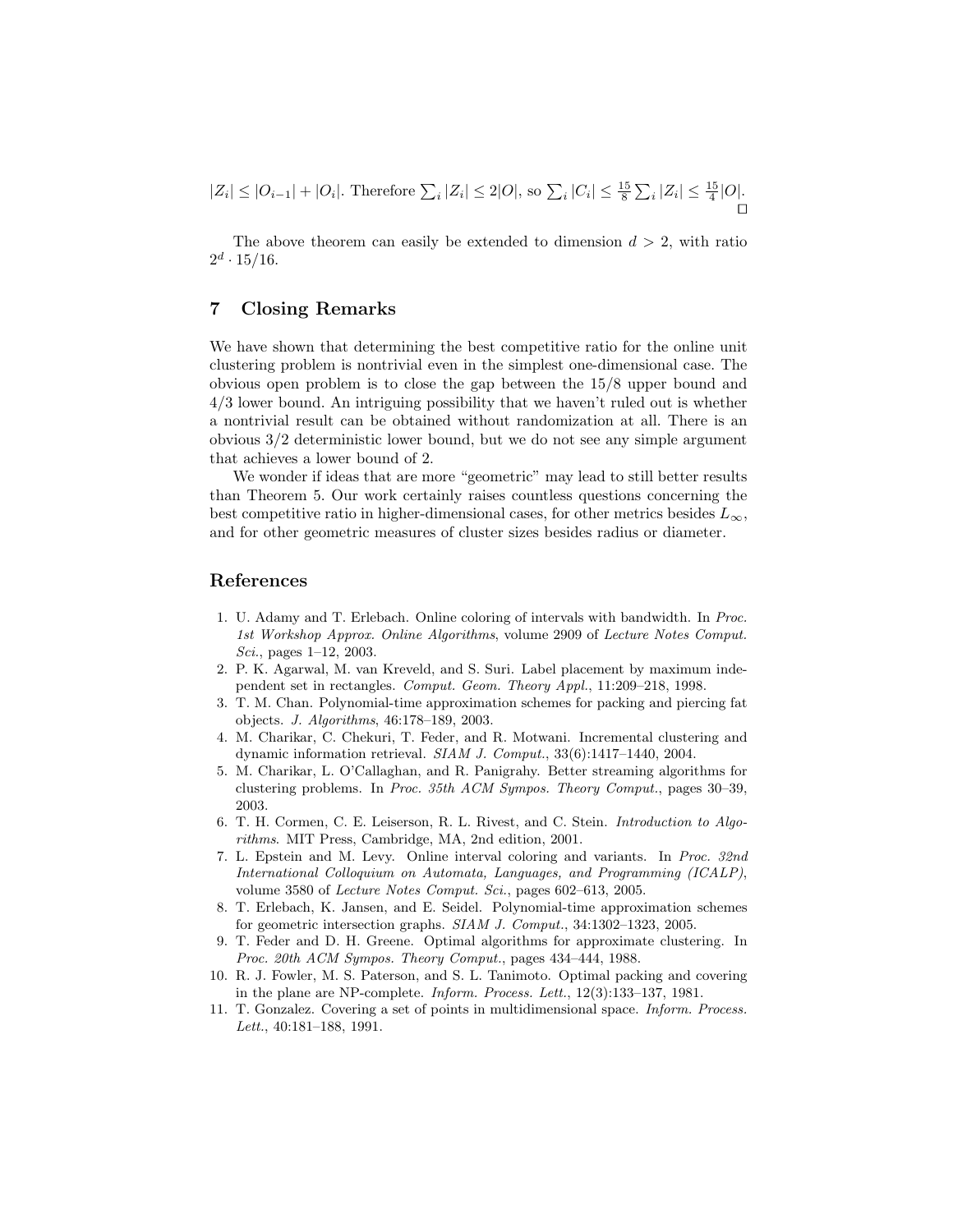$$
|Z_i| \le |O_{i-1}| + |O_i|. \text{ Therefore } \sum_i |Z_i| \le 2|O|, \text{ so } \sum_i |C_i| \le \frac{15}{8} \sum_i |Z_i| \le \frac{15}{4}|O|.
$$

The above theorem can easily be extended to dimension  $d > 2$ , with ratio  $2^d \cdot 15/16$ .

# 7 Closing Remarks

We have shown that determining the best competitive ratio for the online unit clustering problem is nontrivial even in the simplest one-dimensional case. The obvious open problem is to close the gap between the 15/8 upper bound and 4/3 lower bound. An intriguing possibility that we haven't ruled out is whether a nontrivial result can be obtained without randomization at all. There is an obvious 3/2 deterministic lower bound, but we do not see any simple argument that achieves a lower bound of 2.

We wonder if ideas that are more "geometric" may lead to still better results than Theorem 5. Our work certainly raises countless questions concerning the best competitive ratio in higher-dimensional cases, for other metrics besides  $L_{\infty}$ , and for other geometric measures of cluster sizes besides radius or diameter.

## References

- 1. U. Adamy and T. Erlebach. Online coloring of intervals with bandwidth. In Proc. 1st Workshop Approx. Online Algorithms, volume 2909 of Lecture Notes Comput. Sci., pages 1–12, 2003.
- 2. P. K. Agarwal, M. van Kreveld, and S. Suri. Label placement by maximum independent set in rectangles. Comput. Geom. Theory Appl., 11:209–218, 1998.
- 3. T. M. Chan. Polynomial-time approximation schemes for packing and piercing fat objects. J. Algorithms, 46:178–189, 2003.
- 4. M. Charikar, C. Chekuri, T. Feder, and R. Motwani. Incremental clustering and dynamic information retrieval. SIAM J. Comput., 33(6):1417–1440, 2004.
- 5. M. Charikar, L. O'Callaghan, and R. Panigrahy. Better streaming algorithms for clustering problems. In Proc. 35th ACM Sympos. Theory Comput., pages 30–39, 2003.
- 6. T. H. Cormen, C. E. Leiserson, R. L. Rivest, and C. Stein. Introduction to Algorithms. MIT Press, Cambridge, MA, 2nd edition, 2001.
- 7. L. Epstein and M. Levy. Online interval coloring and variants. In Proc. 32nd International Colloquium on Automata, Languages, and Programming (ICALP), volume 3580 of Lecture Notes Comput. Sci., pages 602–613, 2005.
- 8. T. Erlebach, K. Jansen, and E. Seidel. Polynomial-time approximation schemes for geometric intersection graphs. SIAM J. Comput., 34:1302–1323, 2005.
- 9. T. Feder and D. H. Greene. Optimal algorithms for approximate clustering. In Proc. 20th ACM Sympos. Theory Comput., pages 434–444, 1988.
- 10. R. J. Fowler, M. S. Paterson, and S. L. Tanimoto. Optimal packing and covering in the plane are NP-complete. Inform. Process. Lett., 12(3):133–137, 1981.
- 11. T. Gonzalez. Covering a set of points in multidimensional space. Inform. Process. Lett., 40:181–188, 1991.